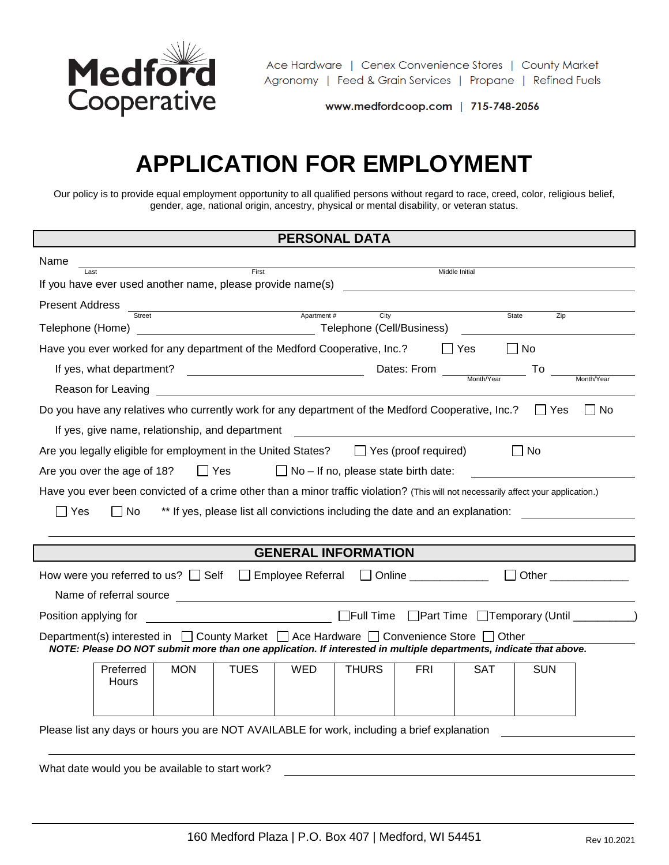

Ace Hardware | Cenex Convenience Stores | County Market Agronomy | Feed & Grain Services | Propane | Refined Fuels

www.medfordcoop.com | 715-748-2056

# **APPLICATION FOR EMPLOYMENT**

Our policy is to provide equal employment opportunity to all qualified persons without regard to race, creed, color, religious belief, gender, age, national origin, ancestry, physical or mental disability, or veteran status.

| <b>PERSONAL DATA</b>                                                                                                                                                                                                                                     |
|----------------------------------------------------------------------------------------------------------------------------------------------------------------------------------------------------------------------------------------------------------|
| Name<br><u>First Community Services</u>                                                                                                                                                                                                                  |
| Middle Initial                                                                                                                                                                                                                                           |
| <b>Present Address</b><br>and the contract of the contract of the contract of the contract of the contract of the contract of the contract of the contract of the contract of the contract of the contract of the contract of the contract of the contra |
| City<br>Zip<br>State<br><u> 1980 - Johann Barnett, fransk politik (</u><br>Telephone (Cell/Business)<br>Telephone (Home)                                                                                                                                 |
| Have you ever worked for any department of the Medford Cooperative, Inc.?<br>  No<br>l IYes                                                                                                                                                              |
| If yes, what department?<br>To                                                                                                                                                                                                                           |
| Month/Year<br>Reason for Leaving                                                                                                                                                                                                                         |
| Do you have any relatives who currently work for any department of the Medford Cooperative, Inc.?<br>$\Box$ No<br>l I Yes                                                                                                                                |
| If yes, give name, relationship, and department                                                                                                                                                                                                          |
| Are you legally eligible for employment in the United States? $\Box$ Yes (proof required)<br>l INo                                                                                                                                                       |
| Are you over the age of 18?<br>$\Box$ Yes<br>$\Box$ No – If no, please state birth date:                                                                                                                                                                 |
| Have you ever been convicted of a crime other than a minor traffic violation? (This will not necessarily affect your application.)                                                                                                                       |
| ** If yes, please list all convictions including the date and an explanation:<br>Yes<br>No.                                                                                                                                                              |
|                                                                                                                                                                                                                                                          |
| <b>GENERAL INFORMATION</b>                                                                                                                                                                                                                               |
| How were you referred to us? $\Box$ Self $\Box$ Employee Referral $\Box$ Online ___________<br>□ Other <u>____________</u> ___                                                                                                                           |
|                                                                                                                                                                                                                                                          |
|                                                                                                                                                                                                                                                          |
| Department(s) interested in $\Box$ County Market $\Box$ Ace Hardware $\Box$ Convenience Store $\Box$ Other<br>NOTE: Please DO NOT submit more than one application. If interested in multiple departments, indicate that above.                          |
| <b>MON</b><br><b>TUES</b><br><b>WED</b><br><b>THURS</b><br>Preferred<br><b>FRI</b><br>SAT<br><b>SUN</b><br>Hours                                                                                                                                         |
| Please list any days or hours you are NOT AVAILABLE for work, including a brief explanation                                                                                                                                                              |

What date would you be available to start work?

 $\lceil$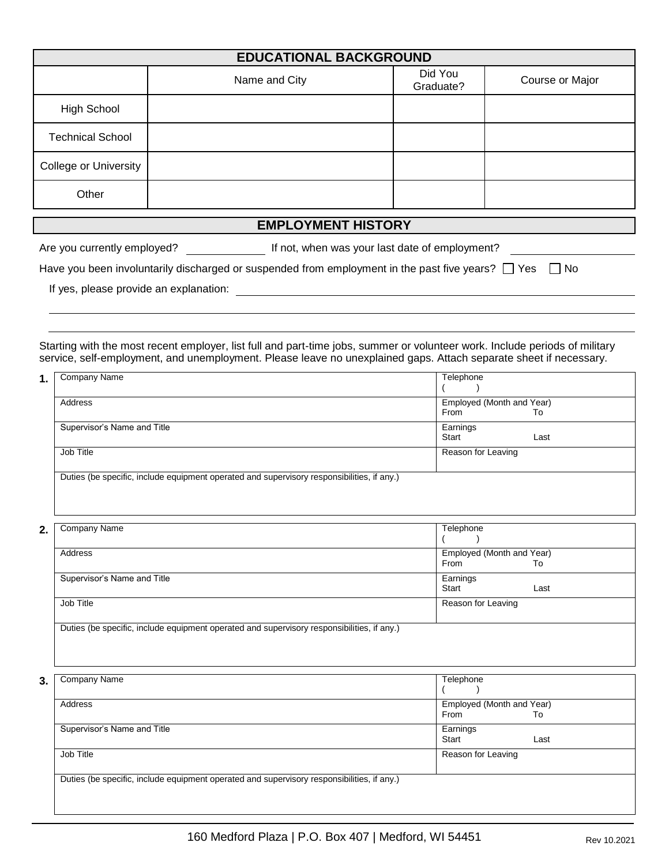| <b>EDUCATIONAL BACKGROUND</b> |               |                      |                 |  |  |
|-------------------------------|---------------|----------------------|-----------------|--|--|
|                               | Name and City | Did You<br>Graduate? | Course or Major |  |  |
| High School                   |               |                      |                 |  |  |
| <b>Technical School</b>       |               |                      |                 |  |  |
| College or University         |               |                      |                 |  |  |
| Other                         |               |                      |                 |  |  |
| <b>EMPLOYMENT HISTORY</b>     |               |                      |                 |  |  |

Are you currently employed? If not, when was your last date of employment?

| Have you been involuntarily discharged or suspended from employment in the past five years? $\Box$ Yes $\Box$ No |  |  |  |  |  |  |
|------------------------------------------------------------------------------------------------------------------|--|--|--|--|--|--|
|------------------------------------------------------------------------------------------------------------------|--|--|--|--|--|--|

If yes, please provide an explanation:

Starting with the most recent employer, list full and part-time jobs, summer or volunteer work. Include periods of military service, self-employment, and unemployment. Please leave no unexplained gaps. Attach separate sheet if necessary.

| Company Name                                                                               | Telephone                 |      |
|--------------------------------------------------------------------------------------------|---------------------------|------|
|                                                                                            |                           |      |
| Address                                                                                    | Employed (Month and Year) |      |
|                                                                                            | From                      | Т٥   |
| Supervisor's Name and Title                                                                | Earnings                  |      |
|                                                                                            | Start                     | Last |
| Job Title                                                                                  | Reason for Leaving        |      |
|                                                                                            |                           |      |
| Duties (be specific, include equipment operated and supervisory responsibilities, if any.) |                           |      |
|                                                                                            |                           |      |

| 2. | Company Name                                                                               | Telephone                 |
|----|--------------------------------------------------------------------------------------------|---------------------------|
|    |                                                                                            |                           |
|    | Address                                                                                    | Employed (Month and Year) |
|    |                                                                                            | From<br>To                |
|    | Supervisor's Name and Title                                                                | Earnings                  |
|    |                                                                                            | Start<br>Last             |
|    | Job Title                                                                                  | Reason for Leaving        |
|    |                                                                                            |                           |
|    | Duties (be specific, include equipment operated and supervisory responsibilities, if any.) |                           |
|    |                                                                                            |                           |
|    |                                                                                            |                           |

| Company Name                                                                               | Telephone                 |       |
|--------------------------------------------------------------------------------------------|---------------------------|-------|
|                                                                                            |                           |       |
| Address                                                                                    | Employed (Month and Year) |       |
|                                                                                            | From                      | To    |
| Supervisor's Name and Title                                                                | Earnings                  |       |
|                                                                                            |                           | Last  |
| Job Title                                                                                  | Reason for Leaving        |       |
|                                                                                            |                           |       |
| Duties (be specific, include equipment operated and supervisory responsibilities, if any.) |                           |       |
|                                                                                            |                           |       |
|                                                                                            |                           | Start |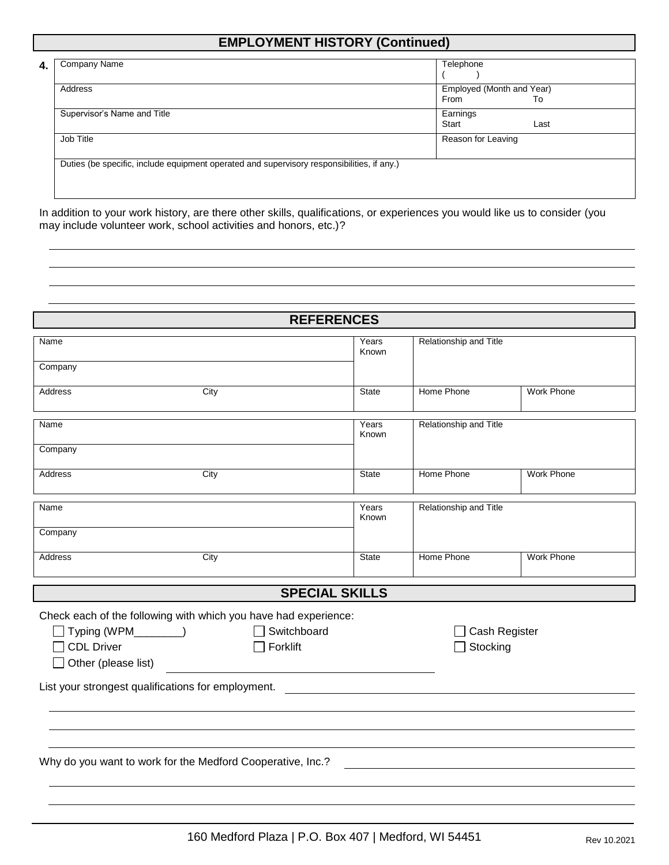### **EMPLOYMENT HISTORY (Continued)**

| Company Name                                                                               | Telephone                 |      |
|--------------------------------------------------------------------------------------------|---------------------------|------|
|                                                                                            |                           |      |
| Address                                                                                    | Employed (Month and Year) |      |
|                                                                                            | From                      | To   |
| Supervisor's Name and Title                                                                | Earnings                  |      |
|                                                                                            | Start                     | Last |
| Job Title                                                                                  | Reason for Leaving        |      |
|                                                                                            |                           |      |
|                                                                                            |                           |      |
|                                                                                            |                           |      |
| Duties (be specific, include equipment operated and supervisory responsibilities, if any.) |                           |      |

In addition to your work history, are there other skills, qualifications, or experiences you would like us to consider (you may include volunteer work, school activities and honors, etc.)?

|                                                                                                                                                        | <b>REFERENCES</b>       |                |                        |                   |
|--------------------------------------------------------------------------------------------------------------------------------------------------------|-------------------------|----------------|------------------------|-------------------|
| Name<br>Company                                                                                                                                        |                         |                | Relationship and Title |                   |
| Address                                                                                                                                                | City                    | <b>State</b>   | Home Phone             | <b>Work Phone</b> |
|                                                                                                                                                        |                         |                |                        |                   |
| Name                                                                                                                                                   |                         | Years<br>Known | Relationship and Title |                   |
| Company                                                                                                                                                |                         |                |                        |                   |
| <b>Address</b>                                                                                                                                         | City                    | <b>State</b>   | Home Phone             | <b>Work Phone</b> |
| Name                                                                                                                                                   |                         | Years<br>Known | Relationship and Title |                   |
| Company                                                                                                                                                |                         |                |                        |                   |
| <b>Address</b>                                                                                                                                         | City                    | <b>State</b>   | Home Phone             | <b>Work Phone</b> |
|                                                                                                                                                        | <b>SPECIAL SKILLS</b>   |                |                        |                   |
| Check each of the following with which you have had experience:<br>$\Box$ Typing (WPM_________)<br><b>CDL Driver</b><br>Other (please list)<br>$\perp$ | Switchboard<br>Forklift |                | Stocking               | Cash Register     |
| List your strongest qualifications for employment.                                                                                                     |                         |                |                        |                   |
|                                                                                                                                                        |                         |                |                        |                   |
|                                                                                                                                                        |                         |                |                        |                   |
| Why do you want to work for the Medford Cooperative, Inc.?                                                                                             |                         |                |                        |                   |
|                                                                                                                                                        |                         |                |                        |                   |